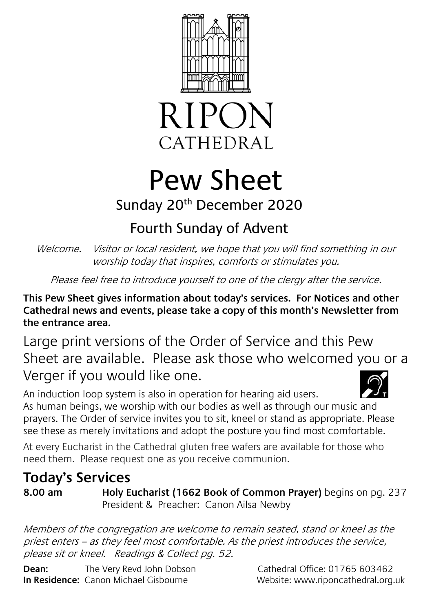



## Pew Sheet

## Sunday 20<sup>th</sup> December 2020

## Fourth Sunday of Advent

Welcome. Visitor or local resident, we hope that you will find something in our worship today that inspires, comforts or stimulates you.

Please feel free to introduce yourself to one of the clergy after the service.

**This Pew Sheet gives information about today's services. For Notices and other Cathedral news and events, please take a copy of this month's Newsletter from the entrance area.** 

Large print versions of the Order of Service and this Pew Sheet are available. Please ask those who welcomed you or a Verger if you would like one.

An induction loop system is also in operation for hearing aid users. As human beings, we worship with our bodies as well as through our music and prayers. The Order of service invites you to sit, kneel or stand as appropriate. Please see these as merely invitations and adopt the posture you find most comfortable.

At every Eucharist in the Cathedral gluten free wafers are available for those who need them. Please request one as you receive communion.

## **Today's Services**

**8.00 am Holy Eucharist (1662 Book of Common Prayer)** begins on pg. 237 President & Preacher: Canon Ailsa Newby

Members of the congregation are welcome to remain seated, stand or kneel as the priest enters – as they feel most comfortable. As the priest introduces the service, please sit or kneel. Readings & Collect pg. 52.

**Dean:** The Very Revd John Dobson Cathedral Office: 01765 603462 **In Residence:** Canon Michael Gisbourne Website: www.riponcathedral.org.uk